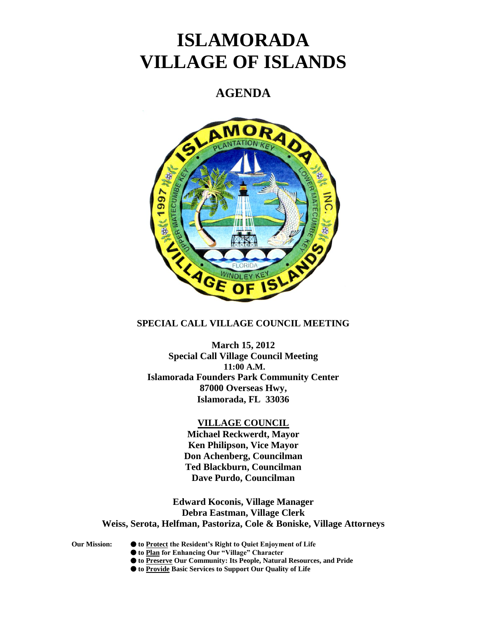# **ISLAMORADA VILLAGE OF ISLANDS**

# **AGENDA**



## **SPECIAL CALL VILLAGE COUNCIL MEETING**

**March 15, 2012 Special Call Village Council Meeting 11:00 A.M. Islamorada Founders Park Community Center 87000 Overseas Hwy, Islamorada, FL 33036**

#### **VILLAGE COUNCIL**

**Michael Reckwerdt, Mayor Ken Philipson, Vice Mayor Don Achenberg, Councilman Ted Blackburn, Councilman Dave Purdo, Councilman**

**Edward Koconis, Village Manager Debra Eastman, Village Clerk Weiss, Serota, Helfman, Pastoriza, Cole & Boniske, Village Attorneys**

- **Our Mission: to Protect the Resident's Right to Quiet Enjoyment of Life**
	- **to Plan for Enhancing Our "Village" Character**
	- **to Preserve Our Community: Its People, Natural Resources, and Pride**
	- **to Provide Basic Services to Support Our Quality of Life**